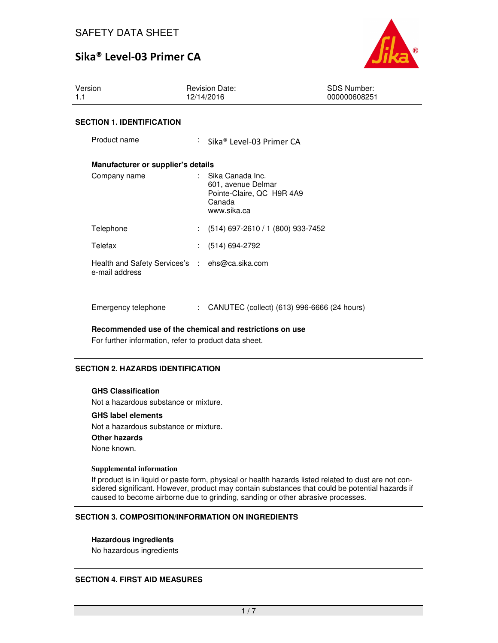

| Version<br>1.1                                                   | <b>Revision Date:</b><br>12/14/2016                                                            | <b>SDS Number:</b><br>000000608251 |
|------------------------------------------------------------------|------------------------------------------------------------------------------------------------|------------------------------------|
| <b>SECTION 1. IDENTIFICATION</b>                                 |                                                                                                |                                    |
| Product name                                                     | $\therefore$ Sika® Level-03 Primer CA                                                          |                                    |
| Manufacturer or supplier's details                               |                                                                                                |                                    |
| Company name                                                     | : Sika Canada Inc.<br>601, avenue Delmar<br>Pointe-Claire, QC H9R 4A9<br>Canada<br>www.sika.ca |                                    |
| Telephone                                                        | $(514)$ 697-2610 / 1 (800) 933-7452                                                            |                                    |
| Telefax                                                          | $(514) 694 - 2792$                                                                             |                                    |
| Health and Safety Services's : ehs@ca.sika.com<br>e-mail address |                                                                                                |                                    |

Emergency telephone : CANUTEC (collect) (613) 996-6666 (24 hours)

**Recommended use of the chemical and restrictions on use** 

For further information, refer to product data sheet.

#### **SECTION 2. HAZARDS IDENTIFICATION**

#### **GHS Classification**

Not a hazardous substance or mixture.

#### **GHS label elements**

Not a hazardous substance or mixture. **Other hazards** None known.

#### **Supplemental information**

If product is in liquid or paste form, physical or health hazards listed related to dust are not considered significant. However, product may contain substances that could be potential hazards if caused to become airborne due to grinding, sanding or other abrasive processes.

#### **SECTION 3. COMPOSITION/INFORMATION ON INGREDIENTS**

#### **Hazardous ingredients**

No hazardous ingredients

#### **SECTION 4. FIRST AID MEASURES**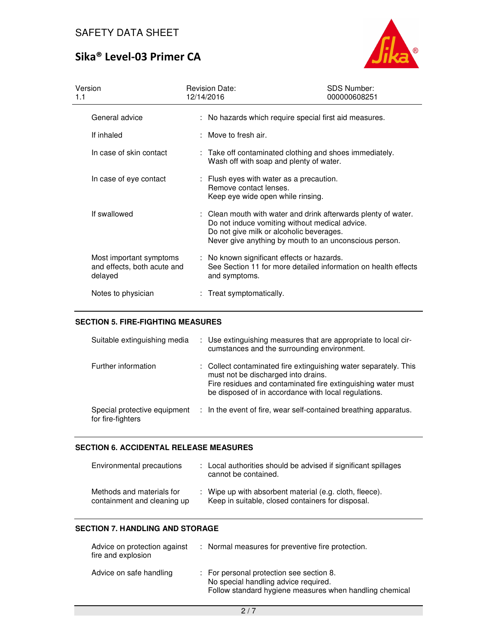

| Version<br>1.1                                                    | <b>Revision Date:</b><br>12/14/2016                                                                     | <b>SDS Number:</b><br>000000608251                                                                                                                                         |
|-------------------------------------------------------------------|---------------------------------------------------------------------------------------------------------|----------------------------------------------------------------------------------------------------------------------------------------------------------------------------|
| General advice                                                    |                                                                                                         | : No hazards which require special first aid measures.                                                                                                                     |
| If inhaled                                                        | $:$ Move to fresh air.                                                                                  |                                                                                                                                                                            |
| In case of skin contact                                           | Wash off with soap and plenty of water.                                                                 | : Take off contaminated clothing and shoes immediately.                                                                                                                    |
| In case of eye contact                                            | : Flush eyes with water as a precaution.<br>Remove contact lenses.<br>Keep eye wide open while rinsing. |                                                                                                                                                                            |
| If swallowed                                                      | Do not give milk or alcoholic beverages.                                                                | : Clean mouth with water and drink afterwards plenty of water.<br>Do not induce vomiting without medical advice.<br>Never give anything by mouth to an unconscious person. |
| Most important symptoms<br>and effects, both acute and<br>delayed | : No known significant effects or hazards.<br>and symptoms.                                             | See Section 11 for more detailed information on health effects                                                                                                             |
| Notes to physician                                                | : Treat symptomatically.                                                                                |                                                                                                                                                                            |

### **SECTION 5. FIRE-FIGHTING MEASURES**

| Suitable extinguishing media                      | : Use extinguishing measures that are appropriate to local cir-<br>cumstances and the surrounding environment.                                                                                                                  |
|---------------------------------------------------|---------------------------------------------------------------------------------------------------------------------------------------------------------------------------------------------------------------------------------|
| Further information                               | : Collect contaminated fire extinguishing water separately. This<br>must not be discharged into drains.<br>Fire residues and contaminated fire extinguishing water must<br>be disposed of in accordance with local regulations. |
| Special protective equipment<br>for fire-fighters | : In the event of fire, wear self-contained breathing apparatus.                                                                                                                                                                |

#### **SECTION 6. ACCIDENTAL RELEASE MEASURES**

| Environmental precautions                                | : Local authorities should be advised if significant spillages<br>cannot be contained.                       |
|----------------------------------------------------------|--------------------------------------------------------------------------------------------------------------|
| Methods and materials for<br>containment and cleaning up | : Wipe up with absorbent material (e.g. cloth, fleece).<br>Keep in suitable, closed containers for disposal. |

## **SECTION 7. HANDLING AND STORAGE**

| Advice on protection against<br>fire and explosion | : Normal measures for preventive fire protection.                                                                                           |
|----------------------------------------------------|---------------------------------------------------------------------------------------------------------------------------------------------|
| Advice on safe handling                            | : For personal protection see section 8.<br>No special handling advice required.<br>Follow standard hygiene measures when handling chemical |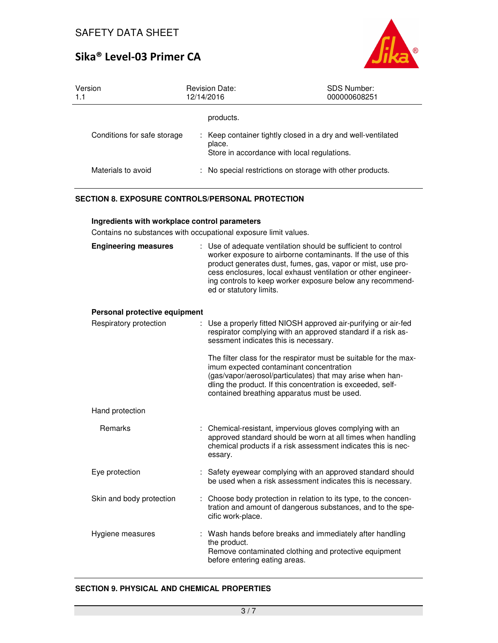

| Version<br>1.1              | <b>Revision Date:</b><br>12/14/2016                   | <b>SDS Number:</b><br>000000608251                           |
|-----------------------------|-------------------------------------------------------|--------------------------------------------------------------|
|                             | products.                                             |                                                              |
| Conditions for safe storage | place.<br>Store in accordance with local regulations. | : Keep container tightly closed in a dry and well-ventilated |
| Materials to avoid          |                                                       | : No special restrictions on storage with other products.    |

## **SECTION 8. EXPOSURE CONTROLS/PERSONAL PROTECTION**

#### **Ingredients with workplace control parameters**

Contains no substances with occupational exposure limit values.

| <b>Engineering measures</b>   | : Use of adequate ventilation should be sufficient to control<br>worker exposure to airborne contaminants. If the use of this<br>product generates dust, fumes, gas, vapor or mist, use pro-<br>cess enclosures, local exhaust ventilation or other engineer-<br>ing controls to keep worker exposure below any recommend-<br>ed or statutory limits. |
|-------------------------------|-------------------------------------------------------------------------------------------------------------------------------------------------------------------------------------------------------------------------------------------------------------------------------------------------------------------------------------------------------|
| Personal protective equipment |                                                                                                                                                                                                                                                                                                                                                       |
| Respiratory protection        | Use a properly fitted NIOSH approved air-purifying or air-fed<br>respirator complying with an approved standard if a risk as-<br>sessment indicates this is necessary.                                                                                                                                                                                |
|                               | The filter class for the respirator must be suitable for the max-<br>imum expected contaminant concentration<br>(gas/vapor/aerosol/particulates) that may arise when han-<br>dling the product. If this concentration is exceeded, self-<br>contained breathing apparatus must be used.                                                               |
| Hand protection               |                                                                                                                                                                                                                                                                                                                                                       |
| Remarks                       | : Chemical-resistant, impervious gloves complying with an<br>approved standard should be worn at all times when handling<br>chemical products if a risk assessment indicates this is nec-<br>essary.                                                                                                                                                  |
| Eye protection                | Safety eyewear complying with an approved standard should<br>be used when a risk assessment indicates this is necessary.                                                                                                                                                                                                                              |
| Skin and body protection      | Choose body protection in relation to its type, to the concen-<br>tration and amount of dangerous substances, and to the spe-<br>cific work-place.                                                                                                                                                                                                    |
| Hygiene measures              | Wash hands before breaks and immediately after handling<br>the product.<br>Remove contaminated clothing and protective equipment<br>before entering eating areas.                                                                                                                                                                                     |

### **SECTION 9. PHYSICAL AND CHEMICAL PROPERTIES**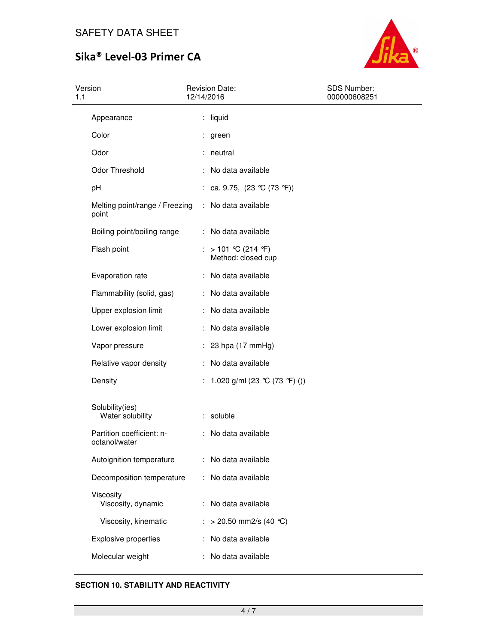

| Version<br>1.1                             | <b>Revision Date:</b><br>12/14/2016           | <b>SDS Number:</b><br>000000608251 |
|--------------------------------------------|-----------------------------------------------|------------------------------------|
| Appearance                                 | : liquid                                      |                                    |
| Color                                      | : green                                       |                                    |
| Odor                                       | : neutral                                     |                                    |
| Odor Threshold                             | : No data available                           |                                    |
| pH                                         | : ca. 9.75, $(23 \text{ °C} (73 \text{ °F}))$ |                                    |
| Melting point/range / Freezing<br>point    | : No data available                           |                                    |
| Boiling point/boiling range                | : No data available                           |                                    |
| Flash point                                | : > 101 ℃ (214 °F)<br>Method: closed cup      |                                    |
| Evaporation rate                           | : No data available                           |                                    |
| Flammability (solid, gas)                  | : No data available                           |                                    |
| Upper explosion limit                      | : No data available                           |                                    |
| Lower explosion limit                      | : No data available                           |                                    |
| Vapor pressure                             | $: 23$ hpa (17 mmHg)                          |                                    |
| Relative vapor density                     | : No data available                           |                                    |
| Density                                    | : 1.020 g/ml (23 °C (73 °F) ())               |                                    |
| Solubility(ies)<br>Water solubility        | : soluble                                     |                                    |
| Partition coefficient: n-<br>octanol/water | : No data available                           |                                    |
| Autoignition temperature                   | : No data available                           |                                    |
| Decomposition temperature                  | : No data available                           |                                    |
| Viscosity<br>Viscosity, dynamic            | : No data available                           |                                    |
| Viscosity, kinematic                       | $>$ 20.50 mm2/s (40 °C)                       |                                    |
| <b>Explosive properties</b>                | : No data available                           |                                    |
| Molecular weight                           | No data available                             |                                    |

## **SECTION 10. STABILITY AND REACTIVITY**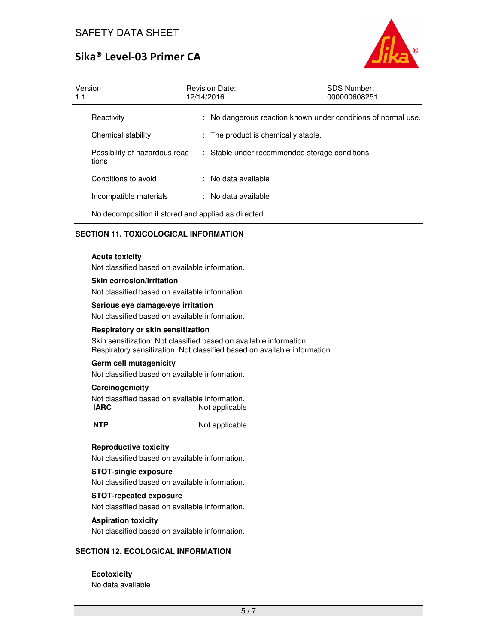

| Version<br>1.1 |                                                     | <b>Revision Date:</b><br>12/14/2016 |                                     | <b>SDS Number:</b><br>000000608251                            |  |
|----------------|-----------------------------------------------------|-------------------------------------|-------------------------------------|---------------------------------------------------------------|--|
|                | Reactivity                                          |                                     |                                     | : No dangerous reaction known under conditions of normal use. |  |
|                | Chemical stability                                  |                                     | : The product is chemically stable. |                                                               |  |
|                | Possibility of hazardous reac-<br>tions             |                                     |                                     | : Stable under recommended storage conditions.                |  |
|                | Conditions to avoid                                 |                                     | : No data available                 |                                                               |  |
|                | Incompatible materials                              |                                     | : No data available                 |                                                               |  |
|                | No decomposition if stored and applied as directed. |                                     |                                     |                                                               |  |

### **SECTION 11. TOXICOLOGICAL INFORMATION**

#### **Acute toxicity**

Not classified based on available information.

#### **Skin corrosion/irritation**

Not classified based on available information.

#### **Serious eye damage/eye irritation**

Not classified based on available information.

#### **Respiratory or skin sensitization**

Skin sensitization: Not classified based on available information. Respiratory sensitization: Not classified based on available information.

#### **Germ cell mutagenicity**

Not classified based on available information.

### **Carcinogenicity**

Not classified based on available information. **IARC** Not applicable

**NTP** Not applicable

#### **Reproductive toxicity**

Not classified based on available information.

#### **STOT-single exposure**

Not classified based on available information.

#### **STOT-repeated exposure**

Not classified based on available information.

#### **Aspiration toxicity**

Not classified based on available information.

#### **SECTION 12. ECOLOGICAL INFORMATION**

**Ecotoxicity**  No data available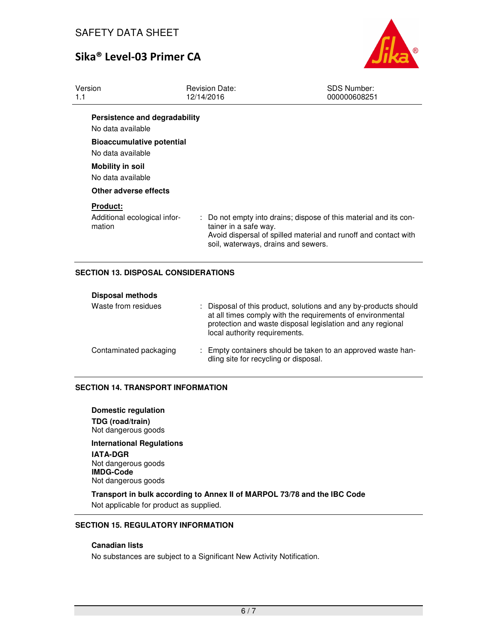

| Version<br>1.1                                            | <b>Revision Date:</b><br>12/14/2016                          | <b>SDS Number:</b><br>000000608251                                                                                                   |  |
|-----------------------------------------------------------|--------------------------------------------------------------|--------------------------------------------------------------------------------------------------------------------------------------|--|
| Persistence and degradability<br>No data available        |                                                              |                                                                                                                                      |  |
| <b>Bioaccumulative potential</b><br>No data available     |                                                              |                                                                                                                                      |  |
| <b>Mobility in soil</b><br>No data available              |                                                              |                                                                                                                                      |  |
| Other adverse effects                                     |                                                              |                                                                                                                                      |  |
| <b>Product:</b><br>Additional ecological infor-<br>mation | tainer in a safe way.<br>soil, waterways, drains and sewers. | : Do not empty into drains; dispose of this material and its con-<br>Avoid dispersal of spilled material and runoff and contact with |  |

### **SECTION 13. DISPOSAL CONSIDERATIONS**

| <b>Disposal methods</b> |                                                                                                                                                                                                                               |
|-------------------------|-------------------------------------------------------------------------------------------------------------------------------------------------------------------------------------------------------------------------------|
| Waste from residues     | : Disposal of this product, solutions and any by-products should<br>at all times comply with the requirements of environmental<br>protection and waste disposal legislation and any regional<br>local authority requirements. |
| Contaminated packaging  | : Empty containers should be taken to an approved waste han-<br>dling site for recycling or disposal.                                                                                                                         |

#### **SECTION 14. TRANSPORT INFORMATION**

**Domestic regulation TDG (road/train)** Not dangerous goods

**International Regulations IATA-DGR** Not dangerous goods **IMDG-Code** Not dangerous goods

**Transport in bulk according to Annex II of MARPOL 73/78 and the IBC Code**  Not applicable for product as supplied.

### **SECTION 15. REGULATORY INFORMATION**

### **Canadian lists**

No substances are subject to a Significant New Activity Notification.